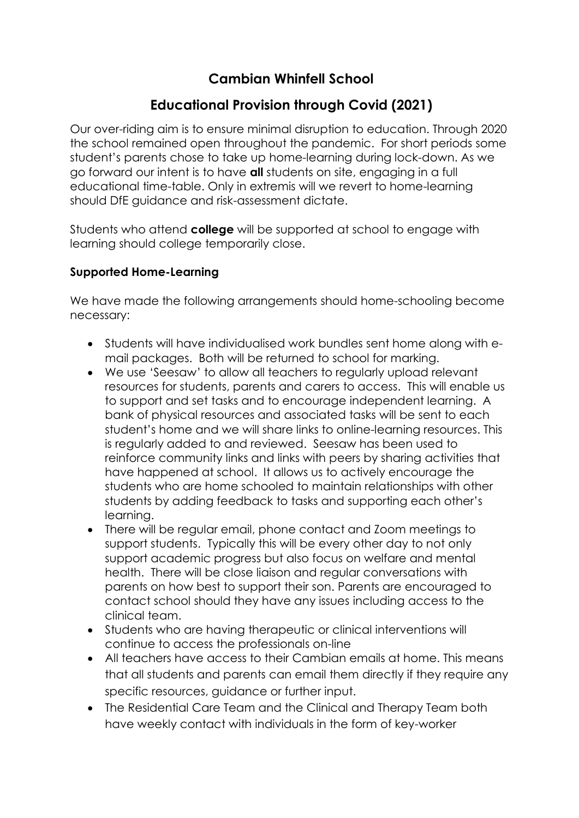# **Cambian Whinfell School**

# **Educational Provision through Covid (2021)**

Our over-riding aim is to ensure minimal disruption to education. Through 2020 the school remained open throughout the pandemic. For short periods some student's parents chose to take up home-learning during lock-down. As we go forward our intent is to have **all** students on site, engaging in a full educational time-table. Only in extremis will we revert to home-learning should DfE guidance and risk-assessment dictate.

Students who attend **college** will be supported at school to engage with learning should college temporarily close.

#### **Supported Home-Learning**

We have made the following arrangements should home-schooling become necessary:

- Students will have individualised work bundles sent home along with email packages. Both will be returned to school for marking.
- We use 'Seesaw' to allow all teachers to regularly upload relevant resources for students, parents and carers to access. This will enable us to support and set tasks and to encourage independent learning. A bank of physical resources and associated tasks will be sent to each student's home and we will share links to online-learning resources. This is regularly added to and reviewed. Seesaw has been used to reinforce community links and links with peers by sharing activities that have happened at school. It allows us to actively encourage the students who are home schooled to maintain relationships with other students by adding feedback to tasks and supporting each other's learning.
- There will be regular email, phone contact and Zoom meetings to support students. Typically this will be every other day to not only support academic progress but also focus on welfare and mental health. There will be close liaison and regular conversations with parents on how best to support their son. Parents are encouraged to contact school should they have any issues including access to the clinical team.
- Students who are having therapeutic or clinical interventions will continue to access the professionals on-line
- All teachers have access to their Cambian emails at home. This means that all students and parents can email them directly if they require any specific resources, guidance or further input.
- The Residential Care Team and the Clinical and Therapy Team both have weekly contact with individuals in the form of key-worker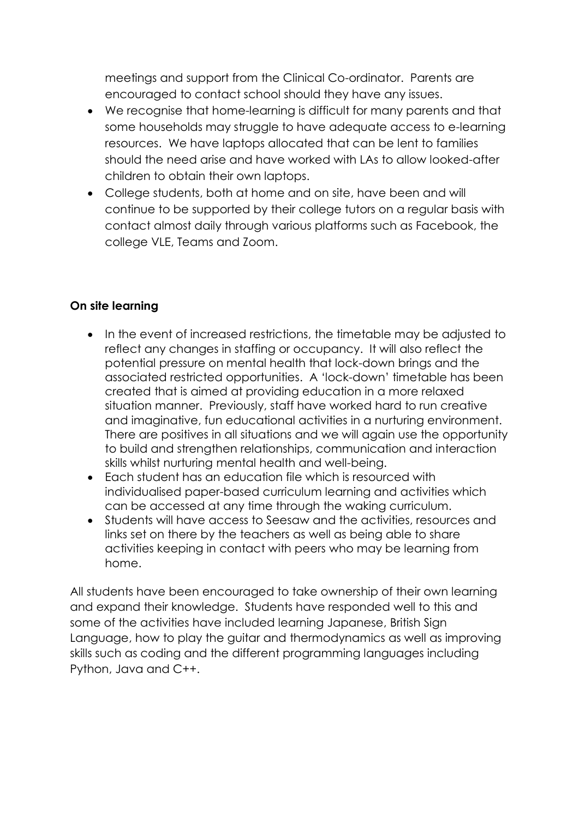meetings and support from the Clinical Co-ordinator. Parents are encouraged to contact school should they have any issues.

- We recognise that home-learning is difficult for many parents and that some households may struggle to have adequate access to e-learning resources. We have laptops allocated that can be lent to families should the need arise and have worked with LAs to allow looked-after children to obtain their own laptops.
- College students, both at home and on site, have been and will continue to be supported by their college tutors on a regular basis with contact almost daily through various platforms such as Facebook, the college VLE, Teams and Zoom.

### **On site learning**

- In the event of increased restrictions, the timetable may be adjusted to reflect any changes in staffing or occupancy. It will also reflect the potential pressure on mental health that lock-down brings and the associated restricted opportunities. A 'lock-down' timetable has been created that is aimed at providing education in a more relaxed situation manner. Previously, staff have worked hard to run creative and imaginative, fun educational activities in a nurturing environment. There are positives in all situations and we will again use the opportunity to build and strengthen relationships, communication and interaction skills whilst nurturing mental health and well-being.
- Each student has an education file which is resourced with individualised paper-based curriculum learning and activities which can be accessed at any time through the waking curriculum.
- Students will have access to Seesaw and the activities, resources and links set on there by the teachers as well as being able to share activities keeping in contact with peers who may be learning from home.

All students have been encouraged to take ownership of their own learning and expand their knowledge. Students have responded well to this and some of the activities have included learning Japanese, British Sian Language, how to play the guitar and thermodynamics as well as improving skills such as coding and the different programming languages including Python, Java and C++.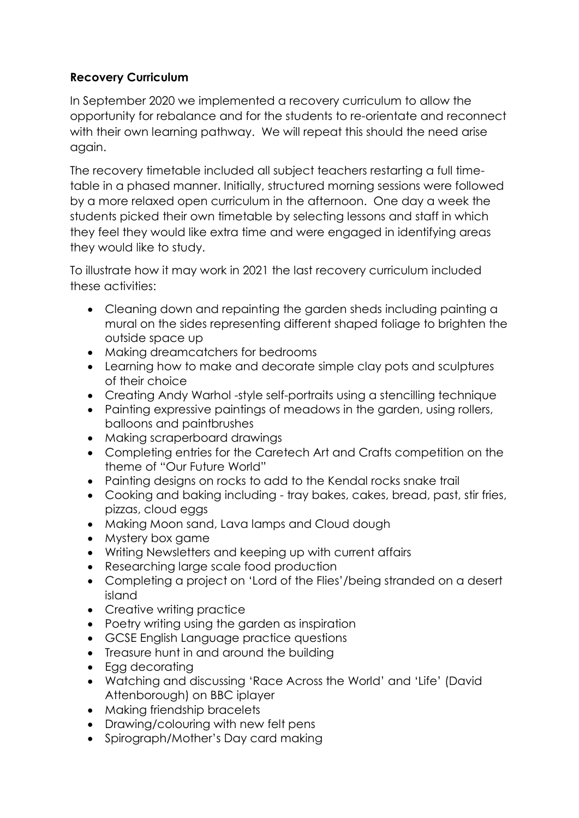### **Recovery Curriculum**

In September 2020 we implemented a recovery curriculum to allow the opportunity for rebalance and for the students to re-orientate and reconnect with their own learning pathway. We will repeat this should the need arise again.

The recovery timetable included all subject teachers restarting a full timetable in a phased manner. Initially, structured morning sessions were followed by a more relaxed open curriculum in the afternoon. One day a week the students picked their own timetable by selecting lessons and staff in which they feel they would like extra time and were engaged in identifying areas they would like to study.

To illustrate how it may work in 2021 the last recovery curriculum included these activities:

- Cleaning down and repainting the garden sheds including painting a mural on the sides representing different shaped foliage to brighten the outside space up
- Making dreamcatchers for bedrooms
- Learning how to make and decorate simple clay pots and sculptures of their choice
- Creating Andy Warhol -style self-portraits using a stencilling technique
- Painting expressive paintings of meadows in the garden, using rollers, balloons and paintbrushes
- Making scraperboard drawings
- Completing entries for the Caretech Art and Crafts competition on the theme of "Our Future World"
- Painting designs on rocks to add to the Kendal rocks snake trail
- Cooking and baking including tray bakes, cakes, bread, past, stir fries, pizzas, cloud eggs
- Making Moon sand, Lava lamps and Cloud dough
- Mystery box game
- Writing Newsletters and keeping up with current affairs
- Researching large scale food production
- Completing a project on 'Lord of the Flies'/being stranded on a desert island
- Creative writing practice
- Poetry writing using the garden as inspiration
- GCSE English Language practice questions
- Treasure hunt in and around the building
- Egg decorating
- Watching and discussing 'Race Across the World' and 'Life' (David Attenborough) on BBC iplayer
- Making friendship bracelets
- Drawing/colouring with new felt pens
- Spirograph/Mother's Day card making